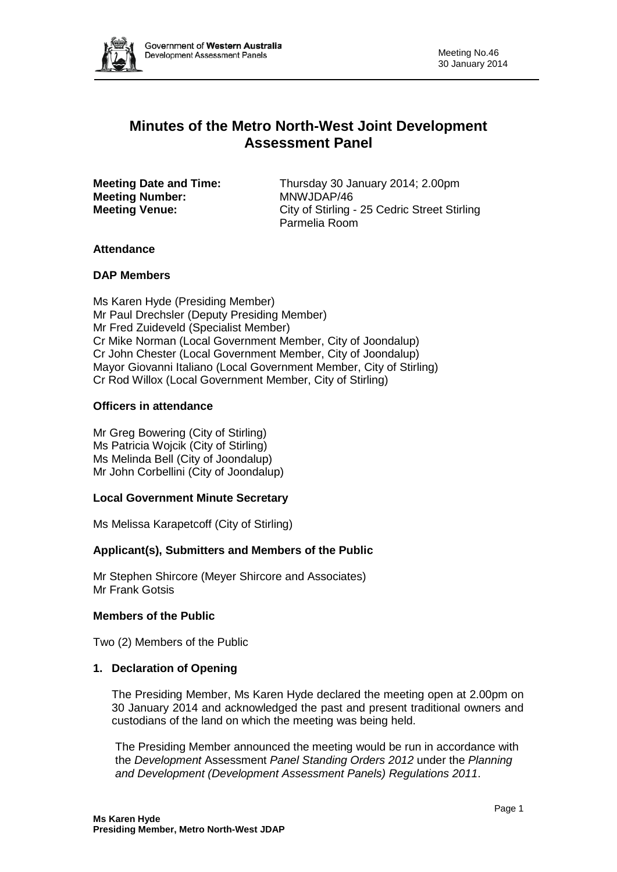

# **Minutes of the Metro North-West Joint Development Assessment Panel**

**Meeting Number:** MNWJDAP/46<br> **Meeting Venue:** City of Stirling -

**Meeting Date and Time:** Thursday 30 January 2014; 2.00pm City of Stirling - 25 Cedric Street Stirling Parmelia Room

# **Attendance**

### **DAP Members**

Ms Karen Hyde (Presiding Member) Mr Paul Drechsler (Deputy Presiding Member) Mr Fred Zuideveld (Specialist Member) Cr Mike Norman (Local Government Member, City of Joondalup) Cr John Chester (Local Government Member, City of Joondalup) Mayor Giovanni Italiano (Local Government Member, City of Stirling) Cr Rod Willox (Local Government Member, City of Stirling)

### **Officers in attendance**

Mr Greg Bowering (City of Stirling) Ms Patricia Wojcik (City of Stirling) Ms Melinda Bell (City of Joondalup) Mr John Corbellini (City of Joondalup)

### **Local Government Minute Secretary**

Ms Melissa Karapetcoff (City of Stirling)

### **Applicant(s), Submitters and Members of the Public**

Mr Stephen Shircore (Meyer Shircore and Associates) Mr Frank Gotsis

### **Members of the Public**

Two (2) Members of the Public

### **1. Declaration of Opening**

The Presiding Member, Ms Karen Hyde declared the meeting open at 2.00pm on 30 January 2014 and acknowledged the past and present traditional owners and custodians of the land on which the meeting was being held.

The Presiding Member announced the meeting would be run in accordance with the *Development* Assessment *Panel Standing Orders 2012* under the *Planning and Development (Development Assessment Panels) Regulations 2011*.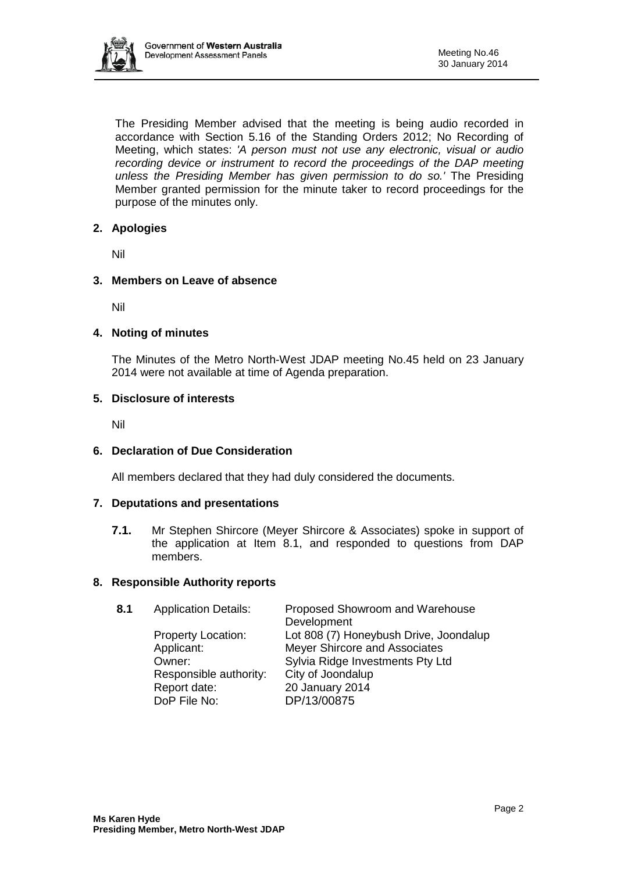

The Presiding Member advised that the meeting is being audio recorded in accordance with Section 5.16 of the Standing Orders 2012; No Recording of Meeting, which states: *'A person must not use any electronic, visual or audio recording device or instrument to record the proceedings of the DAP meeting unless the Presiding Member has given permission to do so.'* The Presiding Member granted permission for the minute taker to record proceedings for the purpose of the minutes only.

### **2. Apologies**

Nil

# **3. Members on Leave of absence**

Nil

# **4. Noting of minutes**

The Minutes of the Metro North-West JDAP meeting No.45 held on 23 January 2014 were not available at time of Agenda preparation.

### **5. Disclosure of interests**

Nil

### **6. Declaration of Due Consideration**

All members declared that they had duly considered the documents.

### **7. Deputations and presentations**

**7.1.** Mr Stephen Shircore (Meyer Shircore & Associates) spoke in support of the application at Item 8.1, and responded to questions from DAP members.

### **8. Responsible Authority reports**

| 8.1 | <b>Application Details:</b> | Proposed Showroom and Warehouse<br>Development |
|-----|-----------------------------|------------------------------------------------|
|     | <b>Property Location:</b>   | Lot 808 (7) Honeybush Drive, Joondalup         |
|     | Applicant:                  | Meyer Shircore and Associates                  |
|     | Owner:                      | Sylvia Ridge Investments Pty Ltd               |
|     | Responsible authority:      | City of Joondalup                              |
|     | Report date:                | 20 January 2014                                |
|     | DoP File No:                | DP/13/00875                                    |
|     |                             |                                                |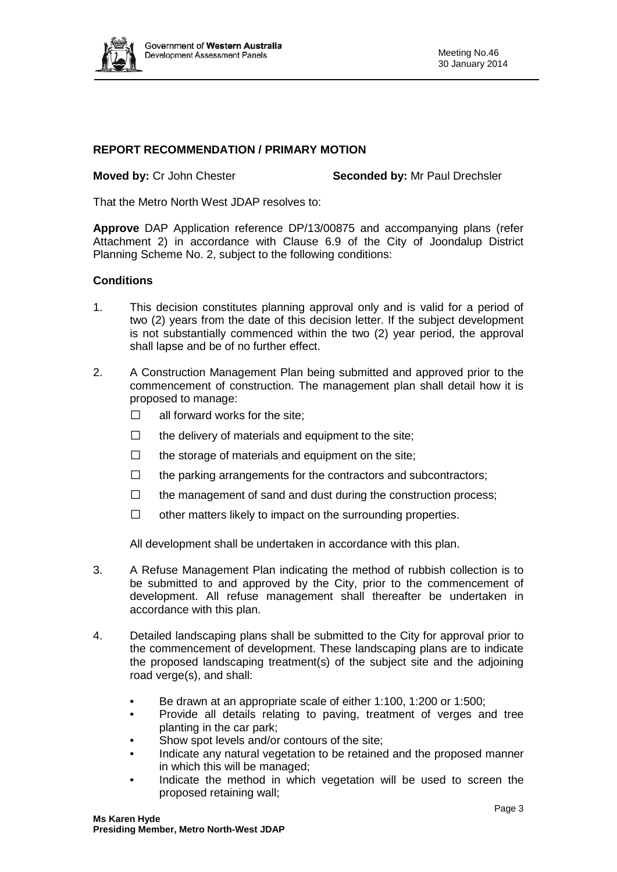

# **REPORT RECOMMENDATION / PRIMARY MOTION**

**Moved by: Cr John Chester** Seconded by: Mr Paul Drechsler

That the Metro North West JDAP resolves to:

**Approve** DAP Application reference DP/13/00875 and accompanying plans (refer Attachment 2) in accordance with Clause 6.9 of the City of Joondalup District Planning Scheme No. 2, subject to the following conditions:

#### **Conditions**

- 1. This decision constitutes planning approval only and is valid for a period of two (2) years from the date of this decision letter. If the subject development is not substantially commenced within the two (2) year period, the approval shall lapse and be of no further effect.
- 2. A Construction Management Plan being submitted and approved prior to the commencement of construction. The management plan shall detail how it is proposed to manage:
	- $\Box$  all forward works for the site:
	- $\Box$  the delivery of materials and equipment to the site;
	- $\Box$  the storage of materials and equipment on the site;
	- $\Box$  the parking arrangements for the contractors and subcontractors;
	- $\Box$  the management of sand and dust during the construction process;
	- $\Box$  other matters likely to impact on the surrounding properties.

All development shall be undertaken in accordance with this plan.

- 3. A Refuse Management Plan indicating the method of rubbish collection is to be submitted to and approved by the City, prior to the commencement of development. All refuse management shall thereafter be undertaken in accordance with this plan.
- 4. Detailed landscaping plans shall be submitted to the City for approval prior to the commencement of development. These landscaping plans are to indicate the proposed landscaping treatment(s) of the subject site and the adjoining road verge(s), and shall:
	- Be drawn at an appropriate scale of either 1:100, 1:200 or 1:500;
	- Provide all details relating to paving, treatment of verges and tree planting in the car park;
	- Show spot levels and/or contours of the site;
	- Indicate any natural vegetation to be retained and the proposed manner in which this will be managed;
	- Indicate the method in which vegetation will be used to screen the proposed retaining wall;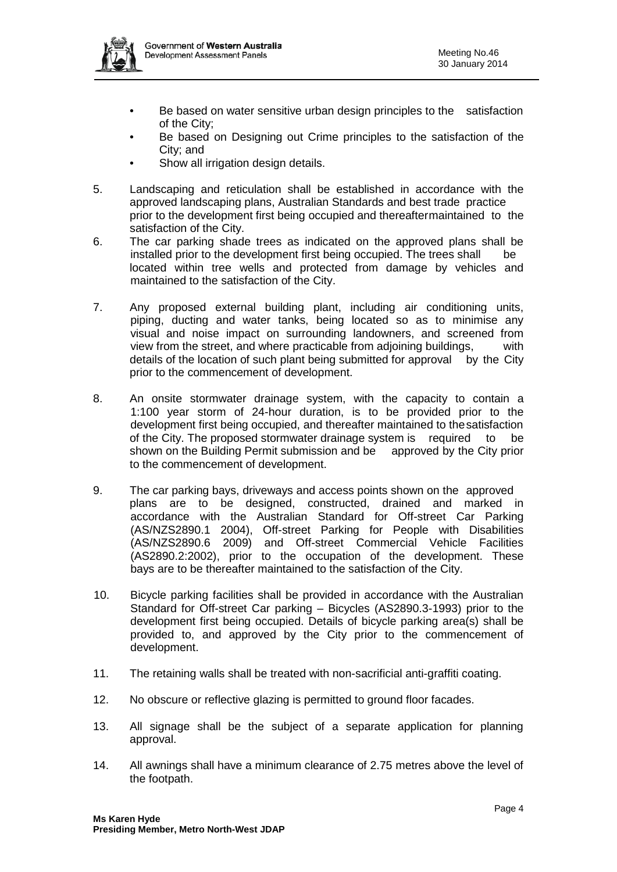

- Be based on water sensitive urban design principles to the satisfaction of the City;
- Be based on Designing out Crime principles to the satisfaction of the City; and
- Show all irrigation design details.
- 5. Landscaping and reticulation shall be established in accordance with the approved landscaping plans, Australian Standards and best trade practice prior to the development first being occupied and thereaftermaintained to the satisfaction of the City.
- 6. The car parking shade trees as indicated on the approved plans shall be installed prior to the development first being occupied. The trees shall be located within tree wells and protected from damage by vehicles and maintained to the satisfaction of the City.
- 7. Any proposed external building plant, including air conditioning units, piping, ducting and water tanks, being located so as to minimise any visual and noise impact on surrounding landowners, and screened from view from the street, and where practicable from adjoining buildings, with details of the location of such plant being submitted for approval by the City prior to the commencement of development.
- 8. An onsite stormwater drainage system, with the capacity to contain a 1:100 year storm of 24-hour duration, is to be provided prior to the development first being occupied, and thereafter maintained to thesatisfaction of the City. The proposed stormwater drainage system is required to be shown on the Building Permit submission and be approved by the City prior to the commencement of development.
- 9. The car parking bays, driveways and access points shown on the approved plans are to be designed, constructed, drained and marked in accordance with the Australian Standard for Off-street Car Parking (AS/NZS2890.1 2004), Off-street Parking for People with Disabilities (AS/NZS2890.6 2009) and Off-street Commercial Vehicle Facilities (AS2890.2:2002), prior to the occupation of the development. These bays are to be thereafter maintained to the satisfaction of the City.
- 10. Bicycle parking facilities shall be provided in accordance with the Australian Standard for Off-street Car parking – Bicycles (AS2890.3-1993) prior to the development first being occupied. Details of bicycle parking area(s) shall be provided to, and approved by the City prior to the commencement of development.
- 11. The retaining walls shall be treated with non-sacrificial anti-graffiti coating.
- 12. No obscure or reflective glazing is permitted to ground floor facades.
- 13. All signage shall be the subject of a separate application for planning approval.
- 14. All awnings shall have a minimum clearance of 2.75 metres above the level of the footpath.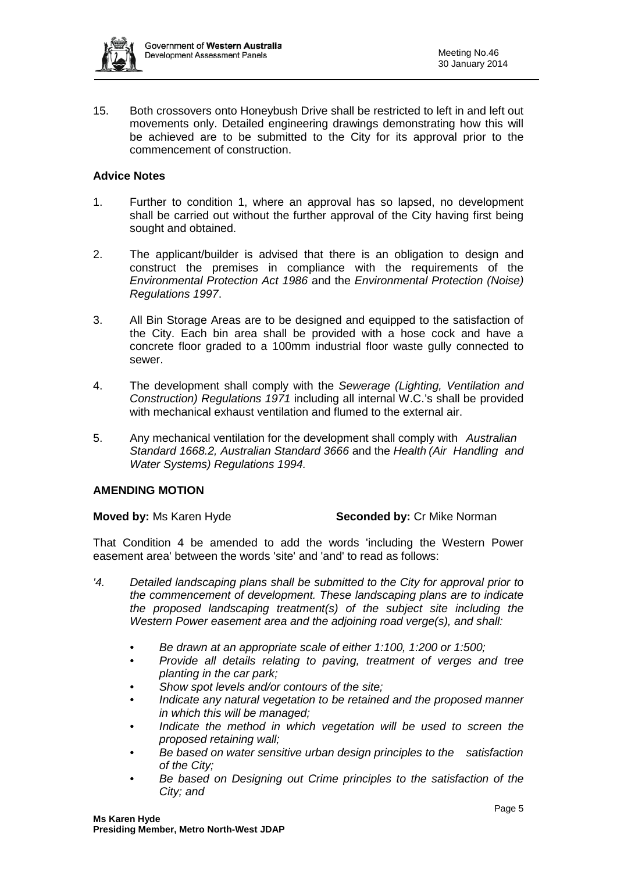

15. Both crossovers onto Honeybush Drive shall be restricted to left in and left out movements only. Detailed engineering drawings demonstrating how this will be achieved are to be submitted to the City for its approval prior to the commencement of construction.

# **Advice Notes**

- 1. Further to condition 1, where an approval has so lapsed, no development shall be carried out without the further approval of the City having first being sought and obtained.
- 2. The applicant/builder is advised that there is an obligation to design and construct the premises in compliance with the requirements of the *Environmental Protection Act 1986* and the *Environmental Protection (Noise) Regulations 1997*.
- 3. All Bin Storage Areas are to be designed and equipped to the satisfaction of the City. Each bin area shall be provided with a hose cock and have a concrete floor graded to a 100mm industrial floor waste gully connected to sewer.
- 4. The development shall comply with the *Sewerage (Lighting, Ventilation and Construction) Regulations 1971* including all internal W.C.'s shall be provided with mechanical exhaust ventilation and flumed to the external air.
- 5. Any mechanical ventilation for the development shall comply with *Australian Standard 1668.2, Australian Standard 3666* and the *Health (Air Handling and Water Systems) Regulations 1994.*

### **AMENDING MOTION**

### **Moved by:** Ms Karen Hyde **Seconded by: Cr Mike Norman**

That Condition 4 be amended to add the words 'including the Western Power easement area' between the words 'site' and 'and' to read as follows:

- *'4. Detailed landscaping plans shall be submitted to the City for approval prior to the commencement of development. These landscaping plans are to indicate the proposed landscaping treatment(s) of the subject site including the Western Power easement area and the adjoining road verge(s), and shall:*
	- *Be drawn at an appropriate scale of either 1:100, 1:200 or 1:500;*
	- *Provide all details relating to paving, treatment of verges and tree planting in the car park;*
	- *Show spot levels and/or contours of the site;*
	- *Indicate any natural vegetation to be retained and the proposed manner in which this will be managed;*
	- *Indicate the method in which vegetation will be used to screen the proposed retaining wall;*
	- *Be based on water sensitive urban design principles to the satisfaction of the City;*
	- *Be based on Designing out Crime principles to the satisfaction of the City; and*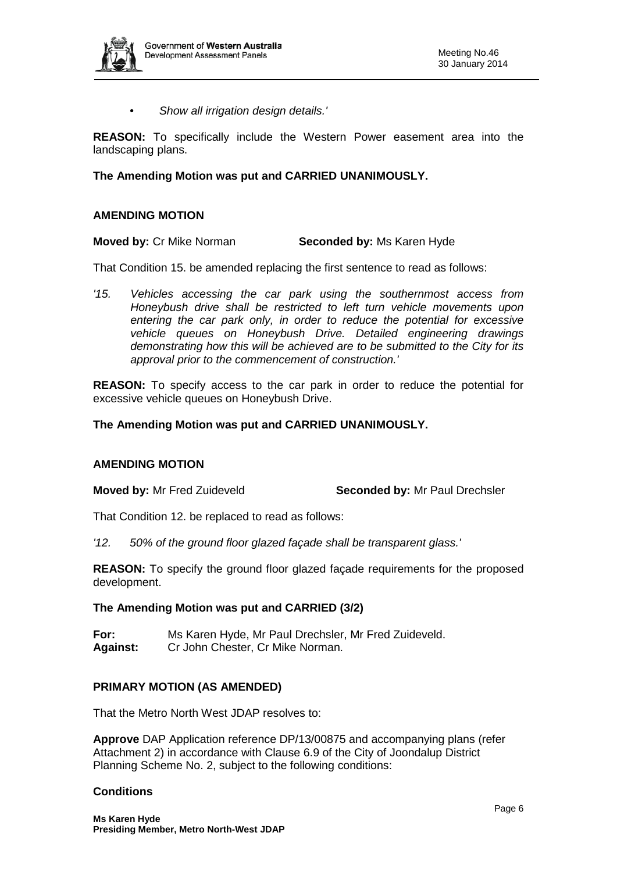

*• Show all irrigation design details.'*

**REASON:** To specifically include the Western Power easement area into the landscaping plans.

# **The Amending Motion was put and CARRIED UNANIMOUSLY.**

### **AMENDING MOTION**

**Moved by: Cr Mike Norman Seconded by: Ms Karen Hyde** 

That Condition 15. be amended replacing the first sentence to read as follows:

*'15. Vehicles accessing the car park using the southernmost access from Honeybush drive shall be restricted to left turn vehicle movements upon entering the car park only, in order to reduce the potential for excessive vehicle queues on Honeybush Drive. Detailed engineering drawings demonstrating how this will be achieved are to be submitted to the City for its approval prior to the commencement of construction.'*

**REASON:** To specify access to the car park in order to reduce the potential for excessive vehicle queues on Honeybush Drive.

#### **The Amending Motion was put and CARRIED UNANIMOUSLY.**

#### **AMENDING MOTION**

**Moved by:** Mr Fred Zuideveld **Seconded by:** Mr Paul Drechsler

That Condition 12. be replaced to read as follows:

*'12. 50% of the ground floor glazed façade shall be transparent glass.'*

**REASON:** To specify the ground floor glazed façade requirements for the proposed development.

#### **The Amending Motion was put and CARRIED (3/2)**

**For:** Ms Karen Hyde, Mr Paul Drechsler, Mr Fred Zuideveld. **Against:** Cr John Chester, Cr Mike Norman.

### **PRIMARY MOTION (AS AMENDED)**

That the Metro North West JDAP resolves to:

**Approve** DAP Application reference DP/13/00875 and accompanying plans (refer Attachment 2) in accordance with Clause 6.9 of the City of Joondalup District Planning Scheme No. 2, subject to the following conditions:

### **Conditions**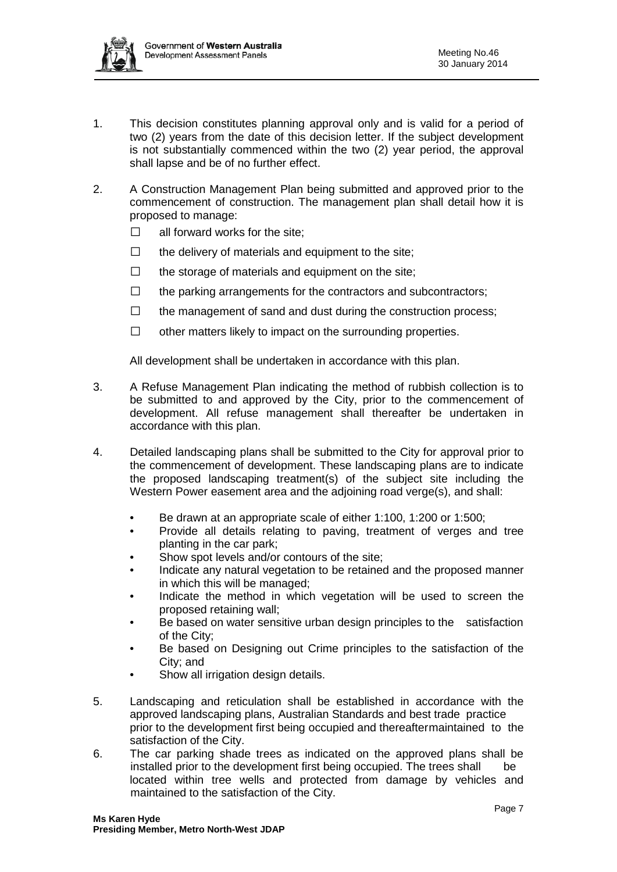

- 1. This decision constitutes planning approval only and is valid for a period of two (2) years from the date of this decision letter. If the subject development is not substantially commenced within the two (2) year period, the approval shall lapse and be of no further effect.
- 2. A Construction Management Plan being submitted and approved prior to the commencement of construction. The management plan shall detail how it is proposed to manage:
	- $\Box$  all forward works for the site;
	- $\Box$  the delivery of materials and equipment to the site;
	- $\Box$  the storage of materials and equipment on the site;
	- $\Box$  the parking arrangements for the contractors and subcontractors;
	- $\Box$  the management of sand and dust during the construction process;
	- $\Box$  other matters likely to impact on the surrounding properties.

All development shall be undertaken in accordance with this plan.

- 3. A Refuse Management Plan indicating the method of rubbish collection is to be submitted to and approved by the City, prior to the commencement of development. All refuse management shall thereafter be undertaken in accordance with this plan.
- 4. Detailed landscaping plans shall be submitted to the City for approval prior to the commencement of development. These landscaping plans are to indicate the proposed landscaping treatment(s) of the subject site including the Western Power easement area and the adjoining road verge(s), and shall:
	- Be drawn at an appropriate scale of either 1:100, 1:200 or 1:500;
	- Provide all details relating to paving, treatment of verges and tree planting in the car park;
	- Show spot levels and/or contours of the site;
	- Indicate any natural vegetation to be retained and the proposed manner in which this will be managed;
	- Indicate the method in which vegetation will be used to screen the proposed retaining wall;
	- Be based on water sensitive urban design principles to the satisfaction of the City;
	- Be based on Designing out Crime principles to the satisfaction of the City; and
	- Show all irrigation design details.
- 5. Landscaping and reticulation shall be established in accordance with the approved landscaping plans, Australian Standards and best trade practice prior to the development first being occupied and thereaftermaintained to the satisfaction of the City.
- 6. The car parking shade trees as indicated on the approved plans shall be installed prior to the development first being occupied. The trees shall be located within tree wells and protected from damage by vehicles and maintained to the satisfaction of the City.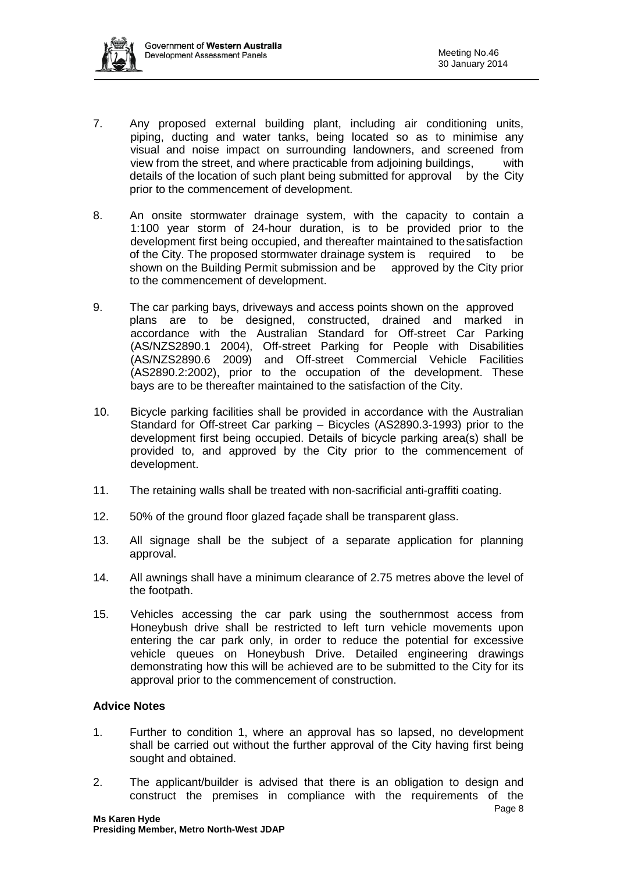

- 7. Any proposed external building plant, including air conditioning units, piping, ducting and water tanks, being located so as to minimise any visual and noise impact on surrounding landowners, and screened from view from the street, and where practicable from adjoining buildings, with details of the location of such plant being submitted for approval by the City prior to the commencement of development.
- 8. An onsite stormwater drainage system, with the capacity to contain a 1:100 year storm of 24-hour duration, is to be provided prior to the development first being occupied, and thereafter maintained to thesatisfaction of the City. The proposed stormwater drainage system is required to be shown on the Building Permit submission and be approved by the City prior to the commencement of development.
- 9. The car parking bays, driveways and access points shown on the approved plans are to be designed, constructed, drained and marked in accordance with the Australian Standard for Off-street Car Parking (AS/NZS2890.1 2004), Off-street Parking for People with Disabilities (AS/NZS2890.6 2009) and Off-street Commercial Vehicle Facilities (AS2890.2:2002), prior to the occupation of the development. These bays are to be thereafter maintained to the satisfaction of the City.
- 10. Bicycle parking facilities shall be provided in accordance with the Australian Standard for Off-street Car parking – Bicycles (AS2890.3-1993) prior to the development first being occupied. Details of bicycle parking area(s) shall be provided to, and approved by the City prior to the commencement of development.
- 11. The retaining walls shall be treated with non-sacrificial anti-graffiti coating.
- 12. 50% of the ground floor glazed façade shall be transparent glass.
- 13. All signage shall be the subject of a separate application for planning approval.
- 14. All awnings shall have a minimum clearance of 2.75 metres above the level of the footpath.
- 15. Vehicles accessing the car park using the southernmost access from Honeybush drive shall be restricted to left turn vehicle movements upon entering the car park only, in order to reduce the potential for excessive vehicle queues on Honeybush Drive. Detailed engineering drawings demonstrating how this will be achieved are to be submitted to the City for its approval prior to the commencement of construction.

### **Advice Notes**

- 1. Further to condition 1, where an approval has so lapsed, no development shall be carried out without the further approval of the City having first being sought and obtained.
- e de la provincia de la provincia de la provincia de la provincia de la provincia de la provincia de la provinci 2. The applicant/builder is advised that there is an obligation to design and construct the premises in compliance with the requirements of the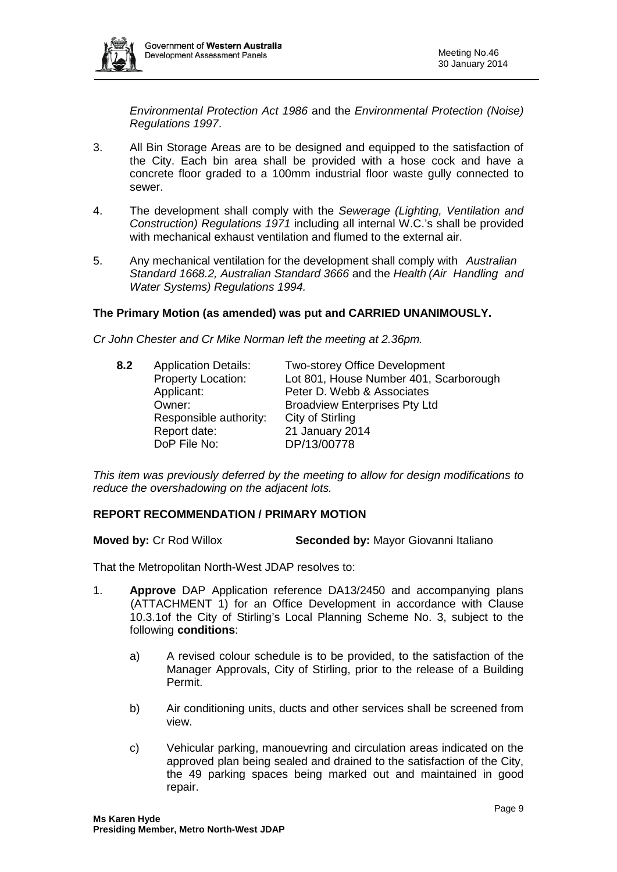

*Environmental Protection Act 1986* and the *Environmental Protection (Noise) Regulations 1997*.

- 3. All Bin Storage Areas are to be designed and equipped to the satisfaction of the City. Each bin area shall be provided with a hose cock and have a concrete floor graded to a 100mm industrial floor waste gully connected to sewer.
- 4. The development shall comply with the *Sewerage (Lighting, Ventilation and Construction) Regulations 1971* including all internal W.C.'s shall be provided with mechanical exhaust ventilation and flumed to the external air.
- 5. Any mechanical ventilation for the development shall comply with *Australian Standard 1668.2, Australian Standard 3666* and the *Health (Air Handling and Water Systems) Regulations 1994.*

### **The Primary Motion (as amended) was put and CARRIED UNANIMOUSLY.**

*Cr John Chester and Cr Mike Norman left the meeting at 2.36pm.*

| 8.2 | <b>Application Details:</b> | <b>Two-storey Office Development</b>   |
|-----|-----------------------------|----------------------------------------|
|     | <b>Property Location:</b>   | Lot 801, House Number 401, Scarborough |
|     | Applicant:                  | Peter D. Webb & Associates             |
|     | Owner:                      | <b>Broadview Enterprises Pty Ltd</b>   |
|     | Responsible authority:      | City of Stirling                       |
|     | Report date:                | 21 January 2014                        |
|     | DoP File No:                | DP/13/00778                            |

*This item was previously deferred by the meeting to allow for design modifications to reduce the overshadowing on the adjacent lots.*

#### **REPORT RECOMMENDATION / PRIMARY MOTION**

**Moved by:** Cr Rod Willox **Seconded by:** Mayor Giovanni Italiano

That the Metropolitan North-West JDAP resolves to:

- 1. **Approve** DAP Application reference DA13/2450 and accompanying plans (ATTACHMENT 1) for an Office Development in accordance with Clause 10.3.1of the City of Stirling's Local Planning Scheme No. 3, subject to the following **conditions**:
	- a) A revised colour schedule is to be provided, to the satisfaction of the Manager Approvals, City of Stirling, prior to the release of a Building Permit.
	- b) Air conditioning units, ducts and other services shall be screened from view.
	- c) Vehicular parking, manouevring and circulation areas indicated on the approved plan being sealed and drained to the satisfaction of the City, the 49 parking spaces being marked out and maintained in good repair.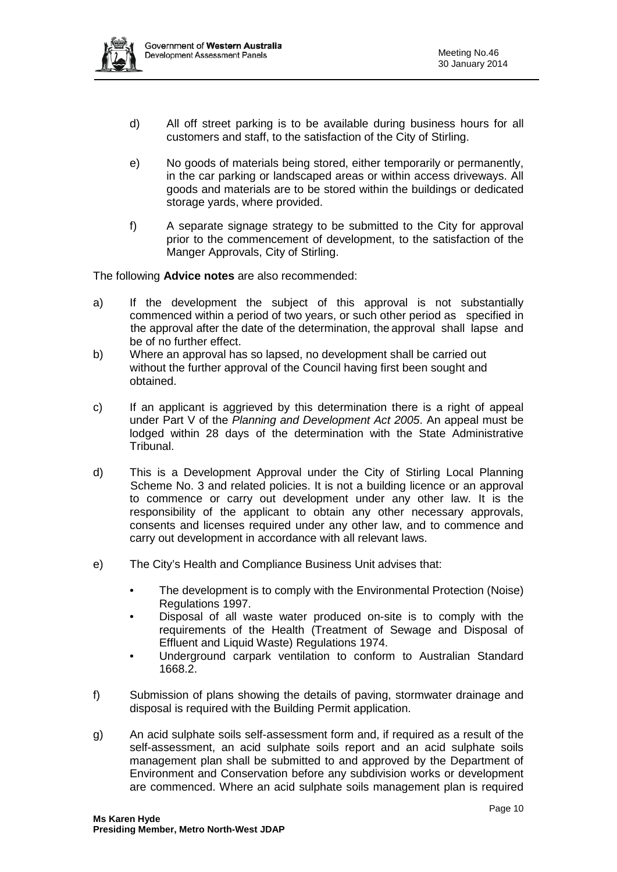

- d) All off street parking is to be available during business hours for all customers and staff, to the satisfaction of the City of Stirling.
- e) No goods of materials being stored, either temporarily or permanently, in the car parking or landscaped areas or within access driveways. All goods and materials are to be stored within the buildings or dedicated storage yards, where provided.
- f) A separate signage strategy to be submitted to the City for approval prior to the commencement of development, to the satisfaction of the Manger Approvals, City of Stirling.

The following **Advice notes** are also recommended:

- a) If the development the subject of this approval is not substantially commenced within a period of two years, or such other period as specified in the approval after the date of the determination, the approval shall lapse and be of no further effect.
- b) Where an approval has so lapsed, no development shall be carried out without the further approval of the Council having first been sought and obtained.
- c) If an applicant is aggrieved by this determination there is a right of appeal under Part V of the *Planning and Development Act 2005*. An appeal must be lodged within 28 days of the determination with the State Administrative Tribunal.
- d) This is a Development Approval under the City of Stirling Local Planning Scheme No. 3 and related policies. It is not a building licence or an approval to commence or carry out development under any other law. It is the responsibility of the applicant to obtain any other necessary approvals, consents and licenses required under any other law, and to commence and carry out development in accordance with all relevant laws.
- e) The City's Health and Compliance Business Unit advises that:
	- The development is to comply with the Environmental Protection (Noise) Regulations 1997.
	- Disposal of all waste water produced on-site is to comply with the requirements of the Health (Treatment of Sewage and Disposal of Effluent and Liquid Waste) Regulations 1974.
	- Underground carpark ventilation to conform to Australian Standard 1668.2.
- f) Submission of plans showing the details of paving, stormwater drainage and disposal is required with the Building Permit application.
- g) An acid sulphate soils self-assessment form and, if required as a result of the self-assessment, an acid sulphate soils report and an acid sulphate soils management plan shall be submitted to and approved by the Department of Environment and Conservation before any subdivision works or development are commenced. Where an acid sulphate soils management plan is required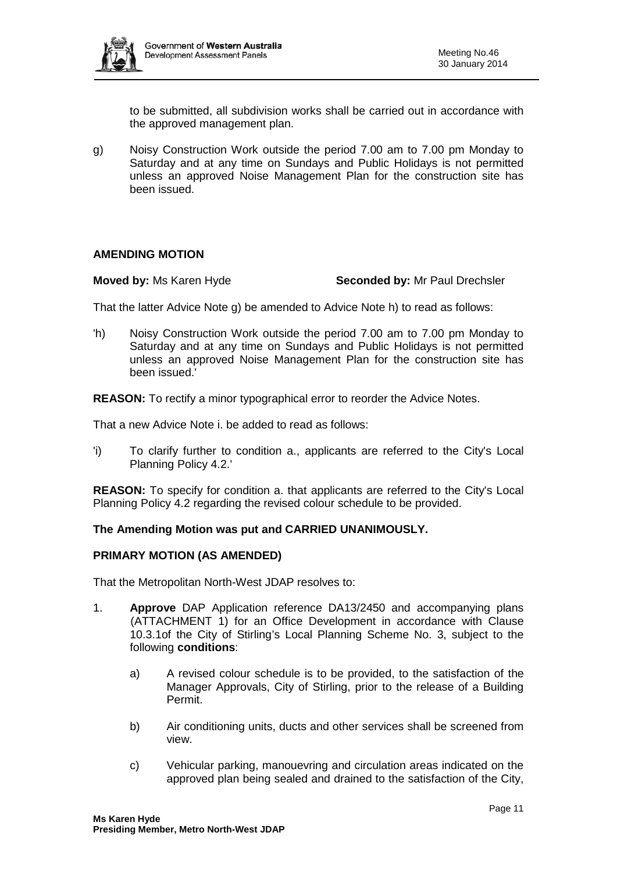

to be submitted, all subdivision works shall be carried out in accordance with the approved management plan.

g) Noisy Construction Work outside the period 7.00 am to 7.00 pm Monday to Saturday and at any time on Sundays and Public Holidays is not permitted unless an approved Noise Management Plan for the construction site has been issued.

#### **AMENDING MOTION**

#### **Moved by:** Ms Karen Hyde **Seconded by:** Mr Paul Drechsler

That the latter Advice Note g) be amended to Advice Note h) to read as follows:

'h) Noisy Construction Work outside the period 7.00 am to 7.00 pm Monday to Saturday and at any time on Sundays and Public Holidays is not permitted unless an approved Noise Management Plan for the construction site has been issued.'

**REASON:** To rectify a minor typographical error to reorder the Advice Notes.

That a new Advice Note i. be added to read as follows:

'i) To clarify further to condition a., applicants are referred to the City's Local Planning Policy 4.2.'

**REASON:** To specify for condition a. that applicants are referred to the City's Local Planning Policy 4.2 regarding the revised colour schedule to be provided.

### **The Amending Motion was put and CARRIED UNANIMOUSLY.**

#### **PRIMARY MOTION (AS AMENDED)**

That the Metropolitan North-West JDAP resolves to:

- 1. **Approve** DAP Application reference DA13/2450 and accompanying plans (ATTACHMENT 1) for an Office Development in accordance with Clause 10.3.1of the City of Stirling's Local Planning Scheme No. 3, subject to the following **conditions**:
	- a) A revised colour schedule is to be provided, to the satisfaction of the Manager Approvals, City of Stirling, prior to the release of a Building Permit.
	- b) Air conditioning units, ducts and other services shall be screened from view.
	- c) Vehicular parking, manouevring and circulation areas indicated on the approved plan being sealed and drained to the satisfaction of the City,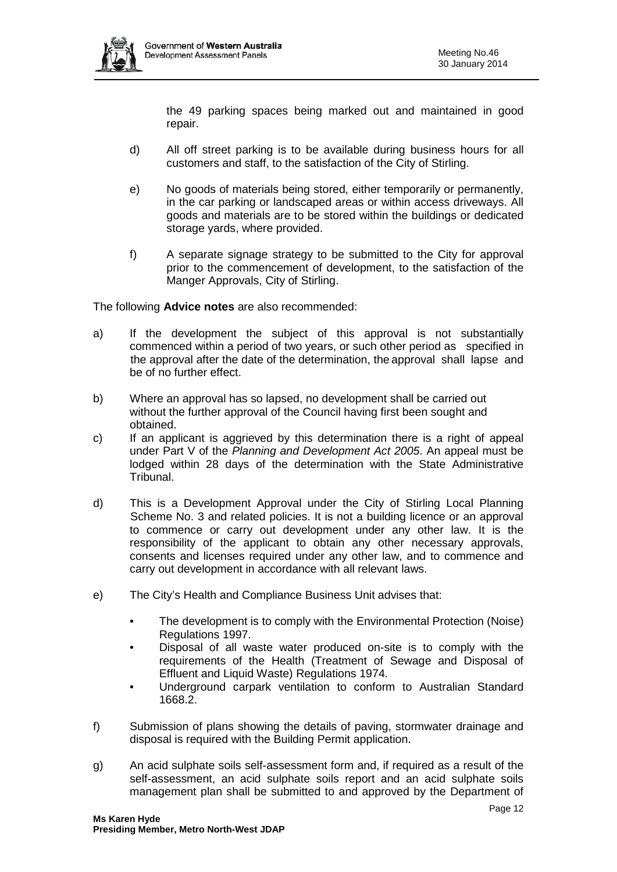

the 49 parking spaces being marked out and maintained in good repair.

- d) All off street parking is to be available during business hours for all customers and staff, to the satisfaction of the City of Stirling.
- e) No goods of materials being stored, either temporarily or permanently, in the car parking or landscaped areas or within access driveways. All goods and materials are to be stored within the buildings or dedicated storage yards, where provided.
- f) A separate signage strategy to be submitted to the City for approval prior to the commencement of development, to the satisfaction of the Manger Approvals, City of Stirling.

The following **Advice notes** are also recommended:

- a) If the development the subject of this approval is not substantially commenced within a period of two years, or such other period as specified in the approval after the date of the determination, the approval shall lapse and be of no further effect.
- b) Where an approval has so lapsed, no development shall be carried out without the further approval of the Council having first been sought and obtained.
- c) If an applicant is aggrieved by this determination there is a right of appeal under Part V of the *Planning and Development Act 2005*. An appeal must be lodged within 28 days of the determination with the State Administrative Tribunal.
- d) This is a Development Approval under the City of Stirling Local Planning Scheme No. 3 and related policies. It is not a building licence or an approval to commence or carry out development under any other law. It is the responsibility of the applicant to obtain any other necessary approvals, consents and licenses required under any other law, and to commence and carry out development in accordance with all relevant laws.
- e) The City's Health and Compliance Business Unit advises that:
	- The development is to comply with the Environmental Protection (Noise) Regulations 1997.
	- Disposal of all waste water produced on-site is to comply with the requirements of the Health (Treatment of Sewage and Disposal of Effluent and Liquid Waste) Regulations 1974.
	- Underground carpark ventilation to conform to Australian Standard 1668.2.
- f) Submission of plans showing the details of paving, stormwater drainage and disposal is required with the Building Permit application.
- g) An acid sulphate soils self-assessment form and, if required as a result of the self-assessment, an acid sulphate soils report and an acid sulphate soils management plan shall be submitted to and approved by the Department of